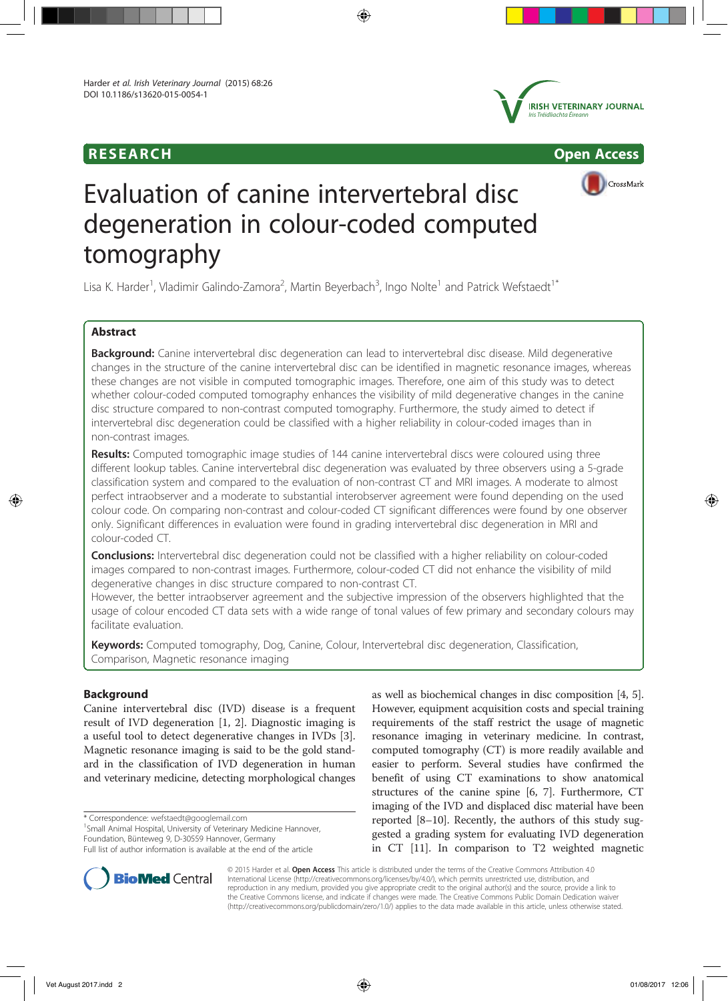# RESEARCH Open Access







# Evaluation of canine intervertebral disc degeneration in colour-coded computed tomography

Lisa K. Harder<sup>1</sup>, Vladimir Galindo-Zamora<sup>2</sup>, Martin Beyerbach<sup>3</sup>, Ingo Nolte<sup>1</sup> and Patrick Wefstaedt<sup>1\*</sup>

## Abstract

Background: Canine intervertebral disc degeneration can lead to intervertebral disc disease. Mild degenerative changes in the structure of the canine intervertebral disc can be identified in magnetic resonance images, whereas these changes are not visible in computed tomographic images. Therefore, one aim of this study was to detect whether colour-coded computed tomography enhances the visibility of mild degenerative changes in the canine disc structure compared to non-contrast computed tomography. Furthermore, the study aimed to detect if intervertebral disc degeneration could be classified with a higher reliability in colour-coded images than in non-contrast images.

Results: Computed tomographic image studies of 144 canine intervertebral discs were coloured using three different lookup tables. Canine intervertebral disc degeneration was evaluated by three observers using a 5-grade classification system and compared to the evaluation of non-contrast CT and MRI images. A moderate to almost perfect intraobserver and a moderate to substantial interobserver agreement were found depending on the used colour code. On comparing non-contrast and colour-coded CT significant differences were found by one observer only. Significant differences in evaluation were found in grading intervertebral disc degeneration in MRI and colour-coded CT.

**Conclusions:** Intervertebral disc degeneration could not be classified with a higher reliability on colour-coded images compared to non-contrast images. Furthermore, colour-coded CT did not enhance the visibility of mild degenerative changes in disc structure compared to non-contrast CT.

However, the better intraobserver agreement and the subjective impression of the observers highlighted that the usage of colour encoded CT data sets with a wide range of tonal values of few primary and secondary colours may facilitate evaluation.

Keywords: Computed tomography, Dog, Canine, Colour, Intervertebral disc degeneration, Classification, Comparison, Magnetic resonance imaging

## Background

Canine intervertebral disc (IVD) disease is a frequent result of IVD degeneration [1, 2]. Diagnostic imaging is a useful tool to detect degenerative changes in IVDs [3]. Magnetic resonance imaging is said to be the gold standard in the classification of IVD degeneration in human and veterinary medicine, detecting morphological changes

\* Correspondence: wefstaedt@googlemail.com <sup>1</sup>

<sup>1</sup>Small Animal Hospital, University of Veterinary Medicine Hannover, Foundation, Bünteweg 9, D-30559 Hannover, Germany

Full list of author information is available at the end of the article



© 2015 Harder et al. Open Access This article is distributed under the terms of the Creative Commons Attribution 4.0 International License (http://creativecommons.org/licenses/by/4.0/), which permits unrestricted use, distribution, and reproduction in any medium, provided you give appropriate credit to the original author(s) and the source, provide a link to the Creative Commons license, and indicate if changes were made. The Creative Commons Public Domain Dedication waiver (http://creativecommons.org/publicdomain/zero/1.0/) applies to the data made available in this article, unless otherwise stated.

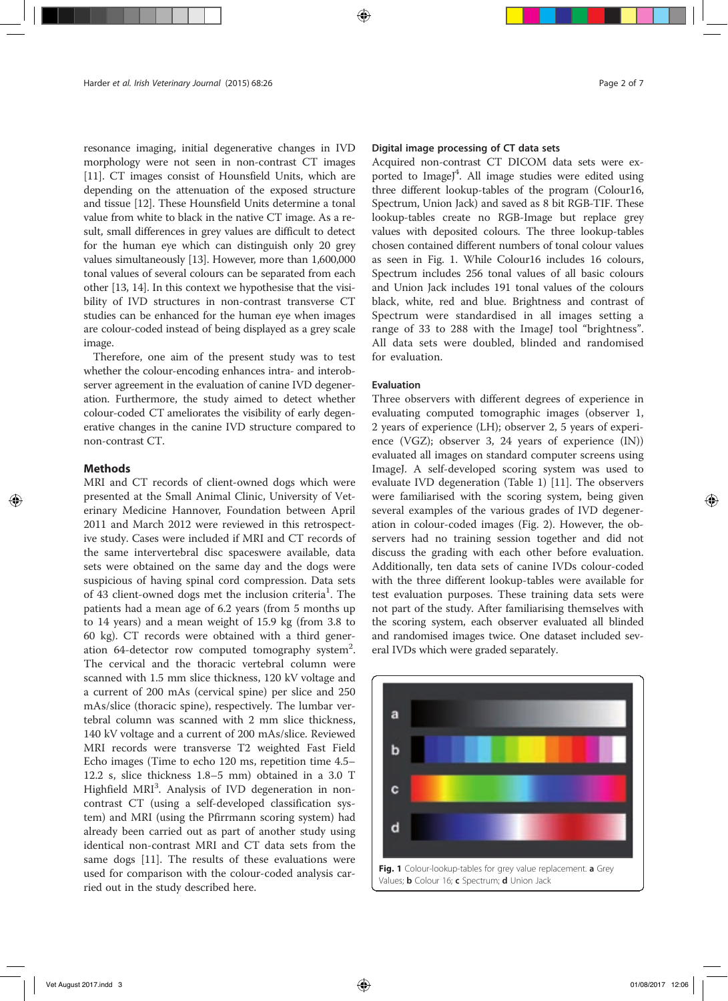resonance imaging, initial degenerative changes in IVD morphology were not seen in non-contrast CT images [11]. CT images consist of Hounsfield Units, which are depending on the attenuation of the exposed structure and tissue [12]. These Hounsfield Units determine a tonal value from white to black in the native CT image. As a result, small differences in grey values are difficult to detect for the human eye which can distinguish only 20 grey values simultaneously [13]. However, more than 1,600,000 tonal values of several colours can be separated from each other [13, 14]. In this context we hypothesise that the visibility of IVD structures in non-contrast transverse CT studies can be enhanced for the human eye when images are colour-coded instead of being displayed as a grey scale image.

Therefore, one aim of the present study was to test whether the colour-encoding enhances intra- and interobserver agreement in the evaluation of canine IVD degeneration. Furthermore, the study aimed to detect whether colour-coded CT ameliorates the visibility of early degenerative changes in the canine IVD structure compared to non-contrast CT.

## **Methods**

MRI and CT records of client-owned dogs which were presented at the Small Animal Clinic, University of Veterinary Medicine Hannover, Foundation between April 2011 and March 2012 were reviewed in this retrospective study. Cases were included if MRI and CT records of the same intervertebral disc spaceswere available, data sets were obtained on the same day and the dogs were suspicious of having spinal cord compression. Data sets of 43 client-owned dogs met the inclusion criteria<sup>1</sup>. The patients had a mean age of 6.2 years (from 5 months up to 14 years) and a mean weight of 15.9 kg (from 3.8 to 60 kg). CT records were obtained with a third generation 64-detector row computed tomography system<sup>2</sup>. The cervical and the thoracic vertebral column were scanned with 1.5 mm slice thickness, 120 kV voltage and a current of 200 mAs (cervical spine) per slice and 250 mAs/slice (thoracic spine), respectively. The lumbar vertebral column was scanned with 2 mm slice thickness, 140 kV voltage and a current of 200 mAs/slice. Reviewed MRI records were transverse T2 weighted Fast Field Echo images (Time to echo 120 ms, repetition time 4.5– 12.2 s, slice thickness 1.8–5 mm) obtained in a 3.0 T Highfield MRI<sup>3</sup>. Analysis of IVD degeneration in noncontrast CT (using a self-developed classification system) and MRI (using the Pfirrmann scoring system) had already been carried out as part of another study using identical non-contrast MRI and CT data sets from the same dogs [11]. The results of these evaluations were used for comparison with the colour-coded analysis carried out in the study described here.

### Digital image processing of CT data sets

Acquired non-contrast CT DICOM data sets were exported to ImageJ<sup>4</sup>. All image studies were edited using three different lookup-tables of the program (Colour16, Spectrum, Union Jack) and saved as 8 bit RGB-TIF. These lookup-tables create no RGB-Image but replace grey values with deposited colours. The three lookup-tables chosen contained different numbers of tonal colour values as seen in Fig. 1. While Colour16 includes 16 colours, Spectrum includes 256 tonal values of all basic colours and Union Jack includes 191 tonal values of the colours black, white, red and blue. Brightness and contrast of Spectrum were standardised in all images setting a range of 33 to 288 with the ImageJ tool "brightness". All data sets were doubled, blinded and randomised for evaluation.

#### Evaluation

Three observers with different degrees of experience in evaluating computed tomographic images (observer 1, 2 years of experience (LH); observer 2, 5 years of experience (VGZ); observer 3, 24 years of experience (IN)) evaluated all images on standard computer screens using ImageJ. A self-developed scoring system was used to evaluate IVD degeneration (Table 1) [11]. The observers were familiarised with the scoring system, being given several examples of the various grades of IVD degeneration in colour-coded images (Fig. 2). However, the observers had no training session together and did not discuss the grading with each other before evaluation. Additionally, ten data sets of canine IVDs colour-coded with the three different lookup-tables were available for test evaluation purposes. These training data sets were not part of the study. After familiarising themselves with the scoring system, each observer evaluated all blinded and randomised images twice. One dataset included several IVDs which were graded separately.

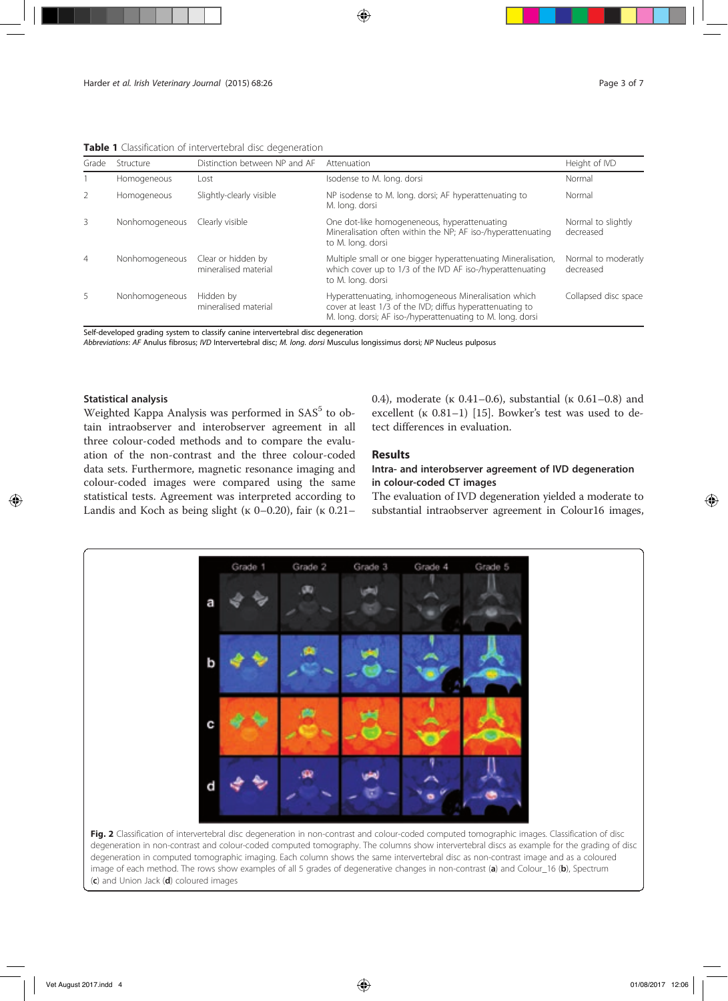Table 1 Classification of intervertebral disc degeneration

| Grade          | Structure      | Distinction between NP and AF              | Attenuation                                                                                                                                                                     | Height of IVD                    |
|----------------|----------------|--------------------------------------------|---------------------------------------------------------------------------------------------------------------------------------------------------------------------------------|----------------------------------|
|                | Homogeneous    | Lost                                       | Isodense to M. long. dorsi                                                                                                                                                      | Normal                           |
| 2              | Homogeneous    | Slightly-clearly visible                   | NP isodense to M. long. dorsi; AF hyperattenuating to<br>M. long. dorsi                                                                                                         | Normal                           |
| 3              | Nonhomogeneous | Clearly visible                            | One dot-like homogeneneous, hyperattenuating<br>Mineralisation often within the NP; AF iso-/hyperattenuating<br>to M. long. dorsi                                               | Normal to slightly<br>decreased  |
| $\overline{4}$ | Nonhomogeneous | Clear or hidden by<br>mineralised material | Multiple small or one bigger hyperattenuating Mineralisation,<br>which cover up to 1/3 of the IVD AF iso-/hyperattenuating<br>to M. long. dorsi                                 | Normal to moderatly<br>decreased |
| $5 -$          | Nonhomogeneous | Hidden by<br>mineralised material          | Hyperattenuating, inhomogeneous Mineralisation which<br>cover at least 1/3 of the IVD; diffus hyperattenuating to<br>M. long. dorsi; AF iso-/hyperattenuating to M. long. dorsi | Collapsed disc space             |

Self-developed grading system to classify canine intervertebral disc degeneration

Abbreviations: AF Anulus fibrosus; IVD Intervertebral disc; M. long. dorsi Musculus longissimus dorsi; NP Nucleus pulposus

#### Statistical analysis

Weighted Kappa Analysis was performed in  $SAS<sup>5</sup>$  to obtain intraobserver and interobserver agreement in all three colour-coded methods and to compare the evaluation of the non-contrast and the three colour-coded data sets. Furthermore, magnetic resonance imaging and colour-coded images were compared using the same statistical tests. Agreement was interpreted according to Landis and Koch as being slight ( $\kappa$  0-0.20), fair ( $\kappa$  0.210.4), moderate (ĸ 0.41–0.6), substantial (ĸ 0.61–0.8) and excellent ( $\kappa$  0.81-1) [15]. Bowker's test was used to detect differences in evaluation.

## **Results**

## Intra- and interobserver agreement of IVD degeneration in colour-coded CT images

The evaluation of IVD degeneration yielded a moderate to substantial intraobserver agreement in Colour16 images,



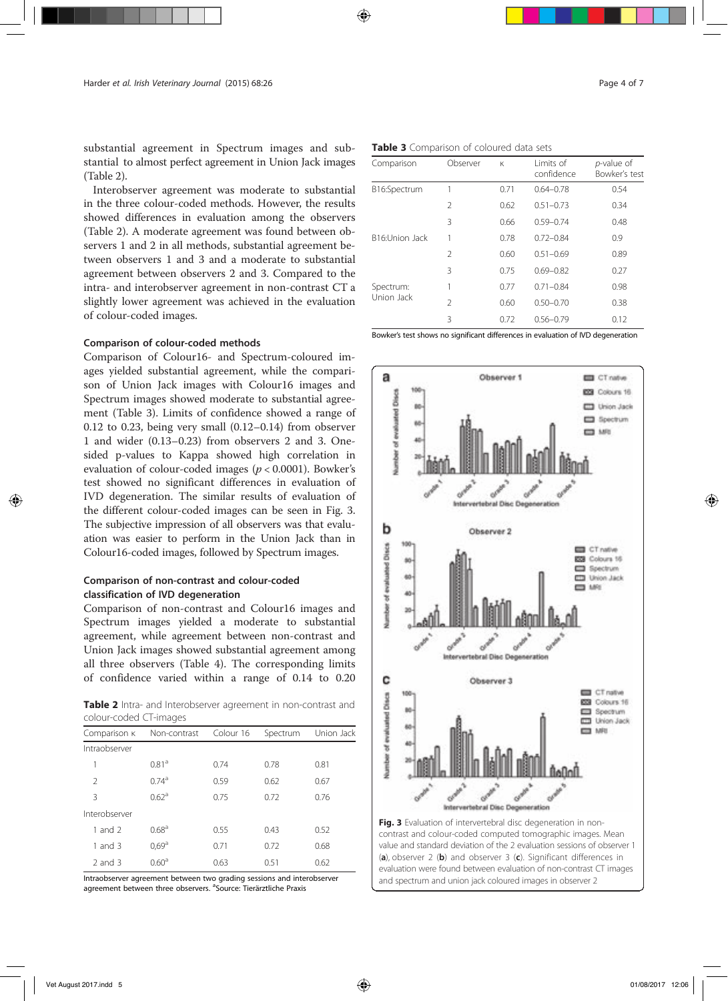substantial agreement in Spectrum images and substantial to almost perfect agreement in Union Jack images (Table 2).

Interobserver agreement was moderate to substantial in the three colour-coded methods. However, the results showed differences in evaluation among the observers (Table 2). A moderate agreement was found between observers 1 and 2 in all methods, substantial agreement between observers 1 and 3 and a moderate to substantial agreement between observers 2 and 3. Compared to the intra- and interobserver agreement in non-contrast CT a slightly lower agreement was achieved in the evaluation of colour-coded images.

#### Comparison of colour-coded methods

Comparison of Colour16- and Spectrum-coloured images yielded substantial agreement, while the comparison of Union Jack images with Colour16 images and Spectrum images showed moderate to substantial agreement (Table 3). Limits of confidence showed a range of 0.12 to 0.23, being very small (0.12–0.14) from observer 1 and wider (0.13–0.23) from observers 2 and 3. Onesided p-values to Kappa showed high correlation in evaluation of colour-coded images ( $p < 0.0001$ ). Bowker's test showed no significant differences in evaluation of IVD degeneration. The similar results of evaluation of the different colour-coded images can be seen in Fig. 3. The subjective impression of all observers was that evaluation was easier to perform in the Union Jack than in Colour16-coded images, followed by Spectrum images.

## Comparison of non-contrast and colour-coded classification of IVD degeneration

Comparison of non-contrast and Colour16 images and Spectrum images yielded a moderate to substantial agreement, while agreement between non-contrast and Union Jack images showed substantial agreement among all three observers (Table 4). The corresponding limits of confidence varied within a range of 0.14 to 0.20

Table 2 Intra- and Interobserver agreement in non-contrast and colour-coded CT-images

| Comparison <b>K</b> | Non-contrast        | Colour 16 | Spectrum | Union Jack |
|---------------------|---------------------|-----------|----------|------------|
| Intraobserver       |                     |           |          |            |
|                     | 0.81 <sup>a</sup>   | 0.74      | 0.78     | 0.81       |
| $\mathcal{P}$       | $0.74$ <sup>a</sup> | 0.59      | 0.62     | 0.67       |
| 3                   | 0.62 <sup>a</sup>   | 0.75      | 0.72     | 0.76       |
| Interobserver       |                     |           |          |            |
| 1 and $2$           | 0.68 <sup>a</sup>   | 0.55      | 0.43     | 0.52       |
| 1 and 3             | 0.69 <sup>a</sup>   | 0.71      | 0.72     | 0.68       |
| $2$ and $3$         | 0.60 <sup>a</sup>   | 0.63      | 0.51     | 0.62       |
|                     |                     |           |          |            |

Intraobserver agreement between two grading sessions and interobserver agreement between three observers. <sup>a</sup>Source: Tierärztliche Praxis

| Comparison                  | Observer       | K    | Limits of<br>confidence | $p$ -value of<br>Bowker's test |
|-----------------------------|----------------|------|-------------------------|--------------------------------|
| B16:Spectrum                | 1              | 0.71 | $0.64 - 0.78$           | 0.54                           |
|                             | $\mathfrak{D}$ | 0.62 | $0.51 - 0.73$           | 0.34                           |
|                             | 3              | 0.66 | $0.59 - 0.74$           | 0.48                           |
| B <sub>16</sub> :Union Jack | 1              | 0.78 | $0.72 - 0.84$           | 0.9                            |
|                             | $\mathfrak{D}$ | 0.60 | $0.51 - 0.69$           | 0.89                           |
|                             | 3              | 0.75 | $0.69 - 0.82$           | 0.27                           |
| Spectrum:                   |                | 0.77 | $0.71 - 0.84$           | 0.98                           |
| Union Jack                  | $\mathfrak{D}$ | 0.60 | $0.50 - 0.70$           | 0.38                           |
|                             | 3              | 0.72 | $0.56 - 0.79$           | 0.12                           |

Bowker's test shows no significant differences in evaluation of IVD degeneration





#### Table 3 Comparison of coloured data sets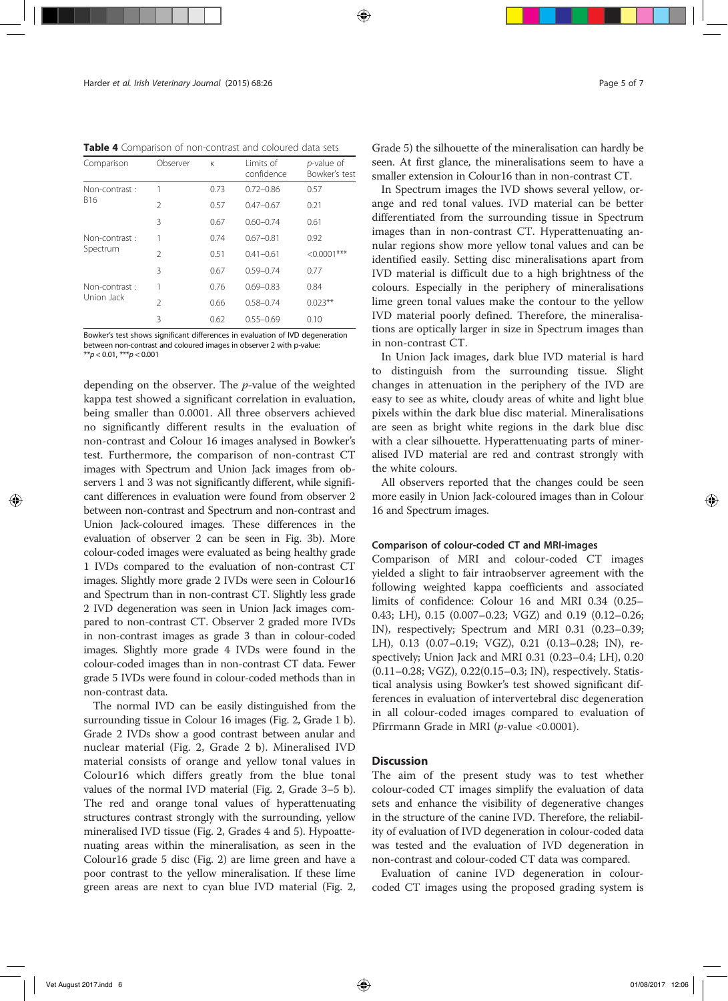Table 4 Comparison of non-contrast and coloured data sets

| Comparison    | Observer       | К    | Limits of<br>confidence | p-value of<br>Bowker's test |
|---------------|----------------|------|-------------------------|-----------------------------|
| Non-contrast: |                | 0.73 | $0.72 - 0.86$           | 0.57                        |
| B16           | $\mathfrak{D}$ | 0.57 | $0.47 - 0.67$           | 0.21                        |
|               | 3              | 0.67 | $0.60 - 0.74$           | 0.61                        |
| Non-contrast: |                | 0.74 | $0.67 - 0.81$           | 0.92                        |
| Spectrum      | $\mathfrak{D}$ | 0.51 | $0.41 - 0.61$           | $<0.0001***$                |
|               | 3              | 0.67 | $0.59 - 0.74$           | 0.77                        |
| Non-contrast: |                | 0.76 | $0.69 - 0.83$           | 0.84                        |
| Union Jack    | $\mathfrak{D}$ | 0.66 | $0.58 - 0.74$           | $0.023**$                   |
|               | 3              | 0.62 | $0.55 - 0.69$           | 0.10                        |

Bowker's test shows significant differences in evaluation of IVD degeneration between non-contrast and coloured images in observer 2 with p-value: \*\* $p < 0.01$ , \*\*\* $p < 0.001$ 

depending on the observer. The p-value of the weighted kappa test showed a significant correlation in evaluation, being smaller than 0.0001. All three observers achieved no significantly different results in the evaluation of non-contrast and Colour 16 images analysed in Bowker's test. Furthermore, the comparison of non-contrast CT images with Spectrum and Union Jack images from observers 1 and 3 was not significantly different, while significant differences in evaluation were found from observer 2 between non-contrast and Spectrum and non-contrast and Union Jack-coloured images. These differences in the evaluation of observer 2 can be seen in Fig. 3b). More colour-coded images were evaluated as being healthy grade 1 IVDs compared to the evaluation of non-contrast CT images. Slightly more grade 2 IVDs were seen in Colour16 and Spectrum than in non-contrast CT. Slightly less grade 2 IVD degeneration was seen in Union Jack images compared to non-contrast CT. Observer 2 graded more IVDs in non-contrast images as grade 3 than in colour-coded images. Slightly more grade 4 IVDs were found in the colour-coded images than in non-contrast CT data. Fewer grade 5 IVDs were found in colour-coded methods than in non-contrast data.

The normal IVD can be easily distinguished from the surrounding tissue in Colour 16 images (Fig. 2, Grade 1 b). Grade 2 IVDs show a good contrast between anular and nuclear material (Fig. 2, Grade 2 b). Mineralised IVD material consists of orange and yellow tonal values in Colour16 which differs greatly from the blue tonal values of the normal IVD material (Fig. 2, Grade 3–5 b). The red and orange tonal values of hyperattenuating structures contrast strongly with the surrounding, yellow mineralised IVD tissue (Fig. 2, Grades 4 and 5). Hypoattenuating areas within the mineralisation, as seen in the Colour16 grade 5 disc (Fig. 2) are lime green and have a poor contrast to the yellow mineralisation. If these lime green areas are next to cyan blue IVD material (Fig. 2,

Grade 5) the silhouette of the mineralisation can hardly be seen. At first glance, the mineralisations seem to have a smaller extension in Colour16 than in non-contrast CT.

In Spectrum images the IVD shows several yellow, orange and red tonal values. IVD material can be better differentiated from the surrounding tissue in Spectrum images than in non-contrast CT. Hyperattenuating annular regions show more yellow tonal values and can be identified easily. Setting disc mineralisations apart from IVD material is difficult due to a high brightness of the colours. Especially in the periphery of mineralisations lime green tonal values make the contour to the yellow IVD material poorly defined. Therefore, the mineralisations are optically larger in size in Spectrum images than in non-contrast CT.

In Union Jack images, dark blue IVD material is hard to distinguish from the surrounding tissue. Slight changes in attenuation in the periphery of the IVD are easy to see as white, cloudy areas of white and light blue pixels within the dark blue disc material. Mineralisations are seen as bright white regions in the dark blue disc with a clear silhouette. Hyperattenuating parts of mineralised IVD material are red and contrast strongly with the white colours.

All observers reported that the changes could be seen more easily in Union Jack-coloured images than in Colour 16 and Spectrum images.

## Comparison of colour-coded CT and MRI-images

Comparison of MRI and colour-coded CT images yielded a slight to fair intraobserver agreement with the following weighted kappa coefficients and associated limits of confidence: Colour 16 and MRI 0.34 (0.25– 0.43; LH), 0.15 (0.007–0.23; VGZ) and 0.19 (0.12–0.26; IN), respectively; Spectrum and MRI 0.31 (0.23–0.39; LH), 0.13 (0.07–0.19; VGZ), 0.21 (0.13–0.28; IN), respectively; Union Jack and MRI 0.31 (0.23–0.4; LH), 0.20 (0.11–0.28; VGZ), 0.22(0.15–0.3; IN), respectively. Statistical analysis using Bowker's test showed significant differences in evaluation of intervertebral disc degeneration in all colour-coded images compared to evaluation of Pfirrmann Grade in MRI ( $p$ -value <0.0001).

## **Discussion**

The aim of the present study was to test whether colour-coded CT images simplify the evaluation of data sets and enhance the visibility of degenerative changes in the structure of the canine IVD. Therefore, the reliability of evaluation of IVD degeneration in colour-coded data was tested and the evaluation of IVD degeneration in non-contrast and colour-coded CT data was compared.

Evaluation of canine IVD degeneration in colourcoded CT images using the proposed grading system is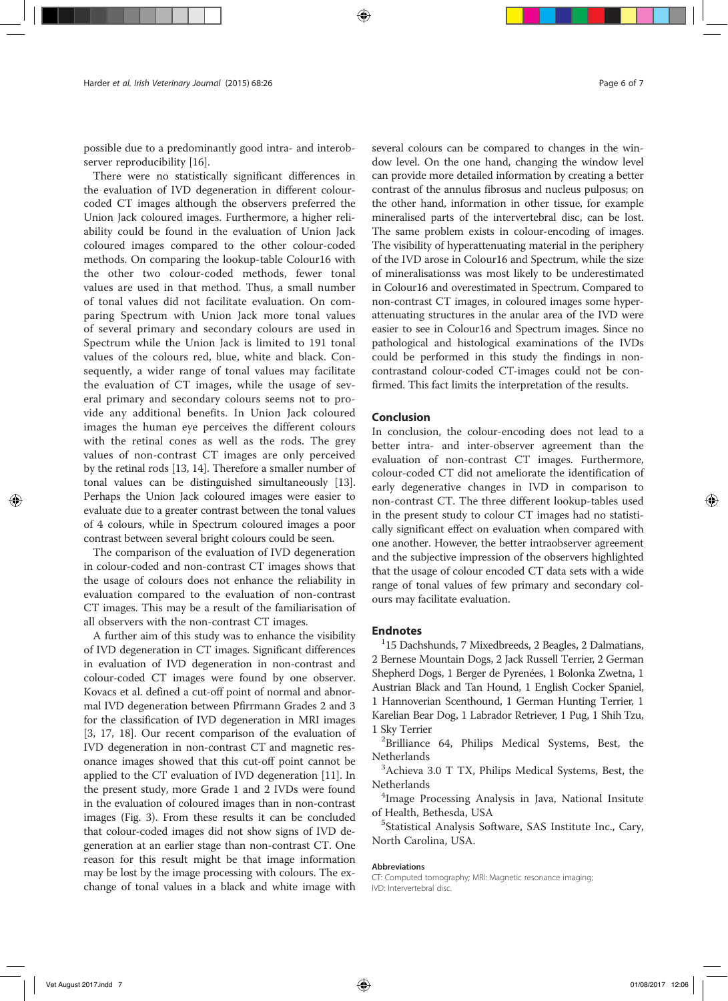possible due to a predominantly good intra- and interobserver reproducibility [16].

There were no statistically significant differences in the evaluation of IVD degeneration in different colourcoded CT images although the observers preferred the Union Jack coloured images. Furthermore, a higher reliability could be found in the evaluation of Union Jack coloured images compared to the other colour-coded methods. On comparing the lookup-table Colour16 with the other two colour-coded methods, fewer tonal values are used in that method. Thus, a small number of tonal values did not facilitate evaluation. On comparing Spectrum with Union Jack more tonal values of several primary and secondary colours are used in Spectrum while the Union Jack is limited to 191 tonal values of the colours red, blue, white and black. Consequently, a wider range of tonal values may facilitate the evaluation of CT images, while the usage of several primary and secondary colours seems not to provide any additional benefits. In Union Jack coloured images the human eye perceives the different colours with the retinal cones as well as the rods. The grey values of non-contrast CT images are only perceived by the retinal rods [13, 14]. Therefore a smaller number of tonal values can be distinguished simultaneously [13]. Perhaps the Union Jack coloured images were easier to evaluate due to a greater contrast between the tonal values of 4 colours, while in Spectrum coloured images a poor contrast between several bright colours could be seen.

The comparison of the evaluation of IVD degeneration in colour-coded and non-contrast CT images shows that the usage of colours does not enhance the reliability in evaluation compared to the evaluation of non-contrast CT images. This may be a result of the familiarisation of all observers with the non-contrast CT images.

A further aim of this study was to enhance the visibility of IVD degeneration in CT images. Significant differences in evaluation of IVD degeneration in non-contrast and colour-coded CT images were found by one observer. Kovacs et al. defined a cut-off point of normal and abnormal IVD degeneration between Pfirrmann Grades 2 and 3 for the classification of IVD degeneration in MRI images [3, 17, 18]. Our recent comparison of the evaluation of IVD degeneration in non-contrast CT and magnetic resonance images showed that this cut-off point cannot be applied to the CT evaluation of IVD degeneration [11]. In the present study, more Grade 1 and 2 IVDs were found in the evaluation of coloured images than in non-contrast images (Fig. 3). From these results it can be concluded that colour-coded images did not show signs of IVD degeneration at an earlier stage than non-contrast CT. One reason for this result might be that image information may be lost by the image processing with colours. The exchange of tonal values in a black and white image with several colours can be compared to changes in the window level. On the one hand, changing the window level can provide more detailed information by creating a better contrast of the annulus fibrosus and nucleus pulposus; on the other hand, information in other tissue, for example mineralised parts of the intervertebral disc, can be lost. The same problem exists in colour-encoding of images. The visibility of hyperattenuating material in the periphery of the IVD arose in Colour16 and Spectrum, while the size of mineralisationss was most likely to be underestimated in Colour16 and overestimated in Spectrum. Compared to non-contrast CT images, in coloured images some hyperattenuating structures in the anular area of the IVD were easier to see in Colour16 and Spectrum images. Since no pathological and histological examinations of the IVDs could be performed in this study the findings in noncontrastand colour-coded CT-images could not be confirmed. This fact limits the interpretation of the results.

#### Conclusion

In conclusion, the colour-encoding does not lead to a better intra- and inter-observer agreement than the evaluation of non-contrast CT images. Furthermore, colour-coded CT did not ameliorate the identification of early degenerative changes in IVD in comparison to non-contrast CT. The three different lookup-tables used in the present study to colour CT images had no statistically significant effect on evaluation when compared with one another. However, the better intraobserver agreement and the subjective impression of the observers highlighted that the usage of colour encoded CT data sets with a wide range of tonal values of few primary and secondary colours may facilitate evaluation.

#### **Endnotes**

<sup>1</sup>15 Dachshunds, 7 Mixedbreeds, 2 Beagles, 2 Dalmatians, 2 Bernese Mountain Dogs, 2 Jack Russell Terrier, 2 German Shepherd Dogs, 1 Berger de Pyrenées, 1 Bolonka Zwetna, 1 Austrian Black and Tan Hound, 1 English Cocker Spaniel, 1 Hannoverian Scenthound, 1 German Hunting Terrier, 1 Karelian Bear Dog, 1 Labrador Retriever, 1 Pug, 1 Shih Tzu, 1 Sky Terrier

<sup>2</sup>Brilliance 64, Philips Medical Systems, Best, the **Netherlands** 

<sup>3</sup>Achieva 3.0 T TX, Philips Medical Systems, Best, the **Netherlands** 

<sup>4</sup>Image Processing Analysis in Java, National Insitute of Health, Bethesda, USA <sup>5</sup>

<sup>5</sup>Statistical Analysis Software, SAS Institute Inc., Cary, North Carolina, USA.

#### Abbreviations

CT: Computed tomography; MRI: Magnetic resonance imaging; IVD: Intervertebral disc.